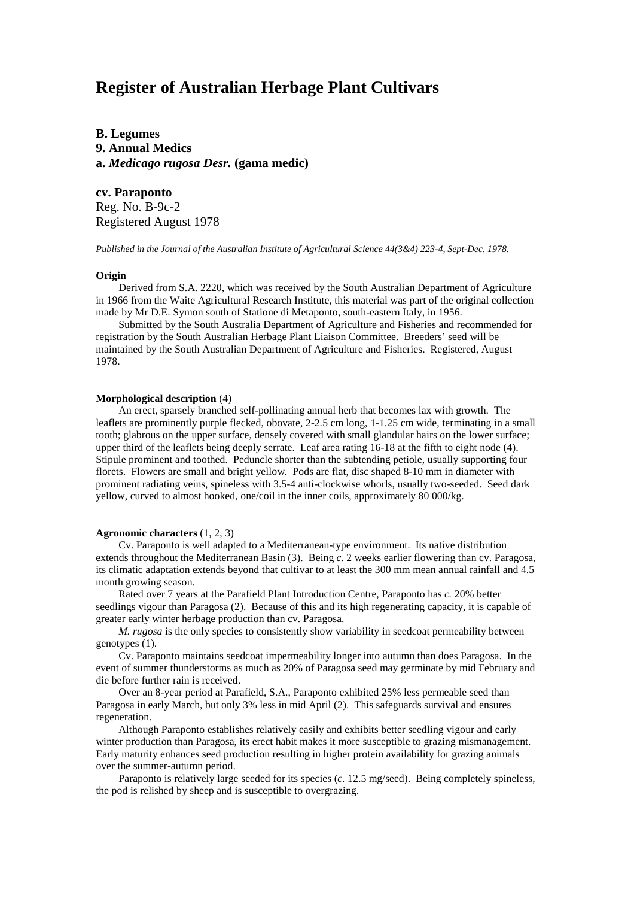# **Register of Australian Herbage Plant Cultivars**

**B. Legumes 9. Annual Medics a.** *Medicago rugosa Desr.* **(gama medic)**

## **cv. Paraponto**

Reg. No. B-9c-2 Registered August 1978

*Published in the Journal of the Australian Institute of Agricultural Science 44(3&4) 223-4, Sept-Dec, 1978.*

#### **Origin**

Derived from S.A. 2220, which was received by the South Australian Department of Agriculture in 1966 from the Waite Agricultural Research Institute, this material was part of the original collection made by Mr D.E. Symon south of Statione di Metaponto, south-eastern Italy, in 1956.

Submitted by the South Australia Department of Agriculture and Fisheries and recommended for registration by the South Australian Herbage Plant Liaison Committee. Breeders' seed will be maintained by the South Australian Department of Agriculture and Fisheries. Registered, August 1978.

#### **Morphological description** (4)

An erect, sparsely branched self-pollinating annual herb that becomes lax with growth. The leaflets are prominently purple flecked, obovate, 2-2.5 cm long, 1-1.25 cm wide, terminating in a small tooth; glabrous on the upper surface, densely covered with small glandular hairs on the lower surface; upper third of the leaflets being deeply serrate. Leaf area rating 16-18 at the fifth to eight node (4). Stipule prominent and toothed. Peduncle shorter than the subtending petiole, usually supporting four florets. Flowers are small and bright yellow. Pods are flat, disc shaped 8-10 mm in diameter with prominent radiating veins, spineless with 3.5-4 anti-clockwise whorls, usually two-seeded. Seed dark yellow, curved to almost hooked, one/coil in the inner coils, approximately 80 000/kg.

### **Agronomic characters** (1, 2, 3)

Cv. Paraponto is well adapted to a Mediterranean-type environment. Its native distribution extends throughout the Mediterranean Basin (3). Being *c.* 2 weeks earlier flowering than cv. Paragosa, its climatic adaptation extends beyond that cultivar to at least the 300 mm mean annual rainfall and 4.5 month growing season.

Rated over 7 years at the Parafield Plant Introduction Centre, Paraponto has *c.* 20% better seedlings vigour than Paragosa (2). Because of this and its high regenerating capacity, it is capable of greater early winter herbage production than cv. Paragosa.

*M. rugosa* is the only species to consistently show variability in seedcoat permeability between genotypes (1).

Cv. Paraponto maintains seedcoat impermeability longer into autumn than does Paragosa. In the event of summer thunderstorms as much as 20% of Paragosa seed may germinate by mid February and die before further rain is received.

Over an 8-year period at Parafield, S.A., Paraponto exhibited 25% less permeable seed than Paragosa in early March, but only 3% less in mid April (2). This safeguards survival and ensures regeneration.

Although Paraponto establishes relatively easily and exhibits better seedling vigour and early winter production than Paragosa, its erect habit makes it more susceptible to grazing mismanagement. Early maturity enhances seed production resulting in higher protein availability for grazing animals over the summer-autumn period.

Paraponto is relatively large seeded for its species (*c.* 12.5 mg/seed). Being completely spineless, the pod is relished by sheep and is susceptible to overgrazing.